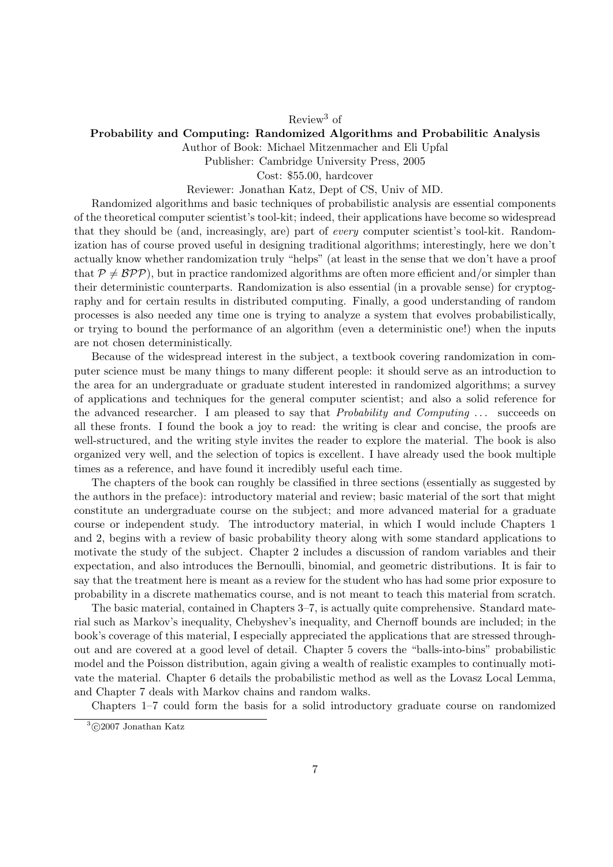Review<sup>3</sup> of

#### Probability and Computing: Randomized Algorithms and Probabilitic Analysis

Author of Book: Michael Mitzenmacher and Eli Upfal

Publisher: Cambridge University Press, 2005

Cost: \$55.00, hardcover

#### Reviewer: Jonathan Katz, Dept of CS, Univ of MD.

Randomized algorithms and basic techniques of probabilistic analysis are essential components of the theoretical computer scientist's tool-kit; indeed, their applications have become so widespread that they should be (and, increasingly, are) part of every computer scientist's tool-kit. Randomization has of course proved useful in designing traditional algorithms; interestingly, here we don't actually know whether randomization truly "helps" (at least in the sense that we don't have a proof that  $P \neq BPP$ ), but in practice randomized algorithms are often more efficient and/or simpler than their deterministic counterparts. Randomization is also essential (in a provable sense) for cryptography and for certain results in distributed computing. Finally, a good understanding of random processes is also needed any time one is trying to analyze a system that evolves probabilistically, or trying to bound the performance of an algorithm (even a deterministic one!) when the inputs are not chosen deterministically.

Because of the widespread interest in the subject, a textbook covering randomization in computer science must be many things to many different people: it should serve as an introduction to the area for an undergraduate or graduate student interested in randomized algorithms; a survey of applications and techniques for the general computer scientist; and also a solid reference for the advanced researcher. I am pleased to say that *Probability and Computing ...* succeeds on all these fronts. I found the book a joy to read: the writing is clear and concise, the proofs are well-structured, and the writing style invites the reader to explore the material. The book is also organized very well, and the selection of topics is excellent. I have already used the book multiple times as a reference, and have found it incredibly useful each time.

The chapters of the book can roughly be classified in three sections (essentially as suggested by the authors in the preface): introductory material and review; basic material of the sort that might constitute an undergraduate course on the subject; and more advanced material for a graduate course or independent study. The introductory material, in which I would include Chapters 1 and 2, begins with a review of basic probability theory along with some standard applications to motivate the study of the subject. Chapter 2 includes a discussion of random variables and their expectation, and also introduces the Bernoulli, binomial, and geometric distributions. It is fair to say that the treatment here is meant as a review for the student who has had some prior exposure to probability in a discrete mathematics course, and is not meant to teach this material from scratch.

The basic material, contained in Chapters 3–7, is actually quite comprehensive. Standard material such as Markov's inequality, Chebyshev's inequality, and Chernoff bounds are included; in the book's coverage of this material, I especially appreciated the applications that are stressed throughout and are covered at a good level of detail. Chapter 5 covers the "balls-into-bins" probabilistic model and the Poisson distribution, again giving a wealth of realistic examples to continually motivate the material. Chapter 6 details the probabilistic method as well as the Lovasz Local Lemma, and Chapter 7 deals with Markov chains and random walks.

Chapters 1–7 could form the basis for a solid introductory graduate course on randomized

 $3$ ©2007 Jonathan Katz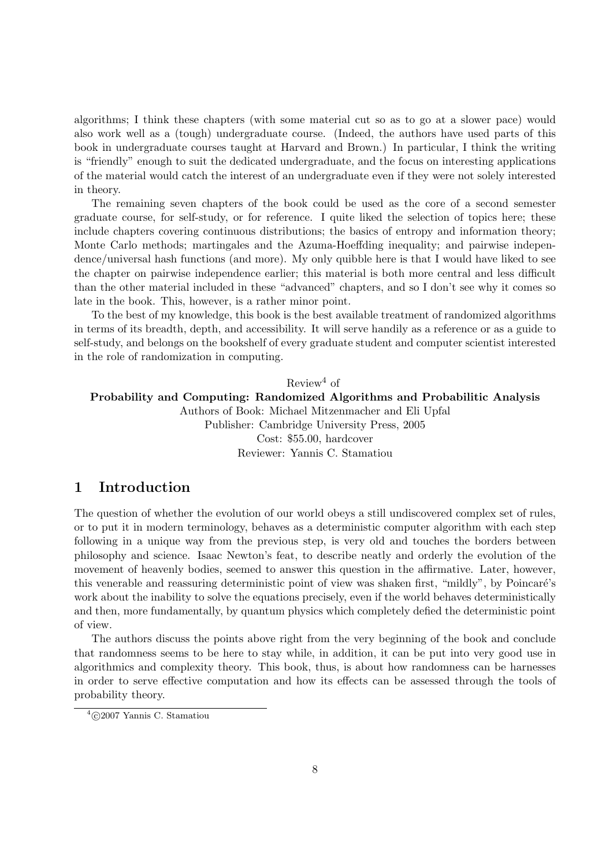algorithms; I think these chapters (with some material cut so as to go at a slower pace) would also work well as a (tough) undergraduate course. (Indeed, the authors have used parts of this book in undergraduate courses taught at Harvard and Brown.) In particular, I think the writing is "friendly" enough to suit the dedicated undergraduate, and the focus on interesting applications of the material would catch the interest of an undergraduate even if they were not solely interested in theory.

The remaining seven chapters of the book could be used as the core of a second semester graduate course, for self-study, or for reference. I quite liked the selection of topics here; these include chapters covering continuous distributions; the basics of entropy and information theory; Monte Carlo methods; martingales and the Azuma-Hoeffding inequality; and pairwise independence/universal hash functions (and more). My only quibble here is that I would have liked to see the chapter on pairwise independence earlier; this material is both more central and less difficult than the other material included in these "advanced" chapters, and so I don't see why it comes so late in the book. This, however, is a rather minor point.

To the best of my knowledge, this book is the best available treatment of randomized algorithms in terms of its breadth, depth, and accessibility. It will serve handily as a reference or as a guide to self-study, and belongs on the bookshelf of every graduate student and computer scientist interested in the role of randomization in computing.

 $Review<sup>4</sup>$  of

### Probability and Computing: Randomized Algorithms and Probabilitic Analysis Authors of Book: Michael Mitzenmacher and Eli Upfal Publisher: Cambridge University Press, 2005 Cost: \$55.00, hardcover

Reviewer: Yannis C. Stamatiou

# 1 Introduction

The question of whether the evolution of our world obeys a still undiscovered complex set of rules, or to put it in modern terminology, behaves as a deterministic computer algorithm with each step following in a unique way from the previous step, is very old and touches the borders between philosophy and science. Isaac Newton's feat, to describe neatly and orderly the evolution of the movement of heavenly bodies, seemed to answer this question in the affirmative. Later, however, this venerable and reassuring deterministic point of view was shaken first, "mildly", by Poincaré's work about the inability to solve the equations precisely, even if the world behaves deterministically and then, more fundamentally, by quantum physics which completely defied the deterministic point of view.

The authors discuss the points above right from the very beginning of the book and conclude that randomness seems to be here to stay while, in addition, it can be put into very good use in algorithmics and complexity theory. This book, thus, is about how randomness can be harnesses in order to serve effective computation and how its effects can be assessed through the tools of probability theory.

<sup>&</sup>lt;sup>4</sup> (c) 2007 Yannis C. Stamatiou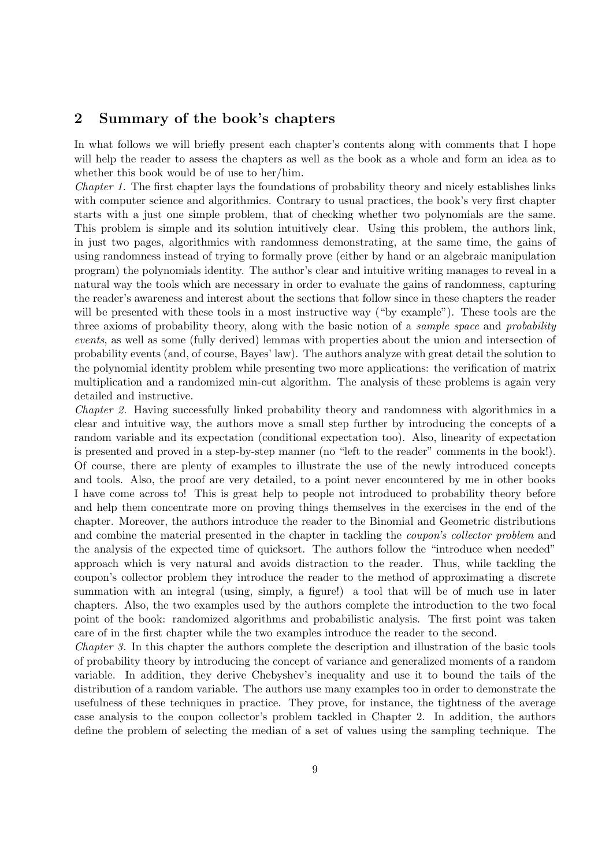## 2 Summary of the book's chapters

In what follows we will briefly present each chapter's contents along with comments that I hope will help the reader to assess the chapters as well as the book as a whole and form an idea as to whether this book would be of use to her/him.

Chapter 1. The first chapter lays the foundations of probability theory and nicely establishes links with computer science and algorithmics. Contrary to usual practices, the book's very first chapter starts with a just one simple problem, that of checking whether two polynomials are the same. This problem is simple and its solution intuitively clear. Using this problem, the authors link, in just two pages, algorithmics with randomness demonstrating, at the same time, the gains of using randomness instead of trying to formally prove (either by hand or an algebraic manipulation program) the polynomials identity. The author's clear and intuitive writing manages to reveal in a natural way the tools which are necessary in order to evaluate the gains of randomness, capturing the reader's awareness and interest about the sections that follow since in these chapters the reader will be presented with these tools in a most instructive way ("by example"). These tools are the three axioms of probability theory, along with the basic notion of a sample space and probability events, as well as some (fully derived) lemmas with properties about the union and intersection of probability events (and, of course, Bayes' law). The authors analyze with great detail the solution to the polynomial identity problem while presenting two more applications: the verification of matrix multiplication and a randomized min-cut algorithm. The analysis of these problems is again very detailed and instructive.

Chapter 2. Having successfully linked probability theory and randomness with algorithmics in a clear and intuitive way, the authors move a small step further by introducing the concepts of a random variable and its expectation (conditional expectation too). Also, linearity of expectation is presented and proved in a step-by-step manner (no "left to the reader" comments in the book!). Of course, there are plenty of examples to illustrate the use of the newly introduced concepts and tools. Also, the proof are very detailed, to a point never encountered by me in other books I have come across to! This is great help to people not introduced to probability theory before and help them concentrate more on proving things themselves in the exercises in the end of the chapter. Moreover, the authors introduce the reader to the Binomial and Geometric distributions and combine the material presented in the chapter in tackling the coupon's collector problem and the analysis of the expected time of quicksort. The authors follow the "introduce when needed" approach which is very natural and avoids distraction to the reader. Thus, while tackling the coupon's collector problem they introduce the reader to the method of approximating a discrete summation with an integral (using, simply, a figure!) a tool that will be of much use in later chapters. Also, the two examples used by the authors complete the introduction to the two focal point of the book: randomized algorithms and probabilistic analysis. The first point was taken care of in the first chapter while the two examples introduce the reader to the second.

Chapter 3. In this chapter the authors complete the description and illustration of the basic tools of probability theory by introducing the concept of variance and generalized moments of a random variable. In addition, they derive Chebyshev's inequality and use it to bound the tails of the distribution of a random variable. The authors use many examples too in order to demonstrate the usefulness of these techniques in practice. They prove, for instance, the tightness of the average case analysis to the coupon collector's problem tackled in Chapter 2. In addition, the authors define the problem of selecting the median of a set of values using the sampling technique. The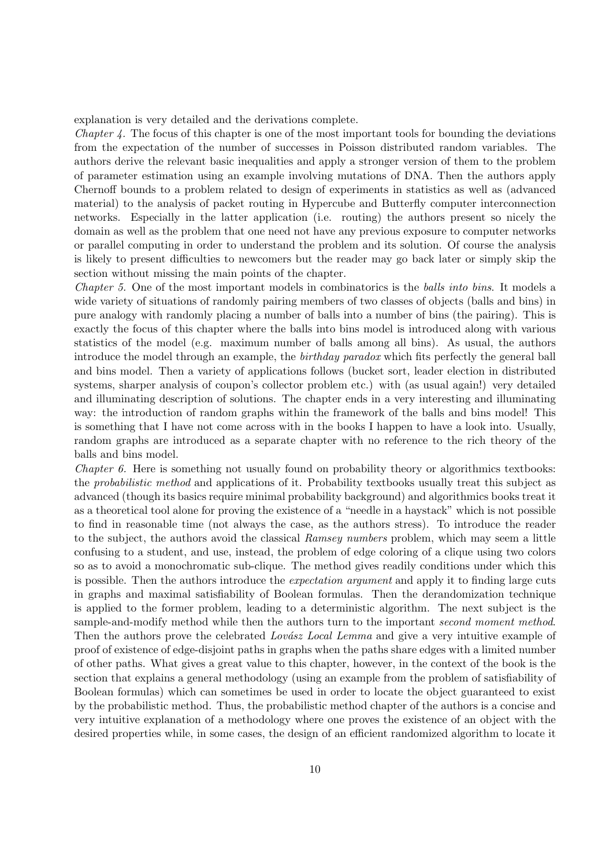explanation is very detailed and the derivations complete.

*Chapter 4.* The focus of this chapter is one of the most important tools for bounding the deviations from the expectation of the number of successes in Poisson distributed random variables. The authors derive the relevant basic inequalities and apply a stronger version of them to the problem of parameter estimation using an example involving mutations of DNA. Then the authors apply Chernoff bounds to a problem related to design of experiments in statistics as well as (advanced material) to the analysis of packet routing in Hypercube and Butterfly computer interconnection networks. Especially in the latter application (i.e. routing) the authors present so nicely the domain as well as the problem that one need not have any previous exposure to computer networks or parallel computing in order to understand the problem and its solution. Of course the analysis is likely to present difficulties to newcomers but the reader may go back later or simply skip the section without missing the main points of the chapter.

Chapter 5. One of the most important models in combinatorics is the balls into bins. It models a wide variety of situations of randomly pairing members of two classes of objects (balls and bins) in pure analogy with randomly placing a number of balls into a number of bins (the pairing). This is exactly the focus of this chapter where the balls into bins model is introduced along with various statistics of the model (e.g. maximum number of balls among all bins). As usual, the authors introduce the model through an example, the *birthday paradox* which fits perfectly the general ball and bins model. Then a variety of applications follows (bucket sort, leader election in distributed systems, sharper analysis of coupon's collector problem etc.) with (as usual again!) very detailed and illuminating description of solutions. The chapter ends in a very interesting and illuminating way: the introduction of random graphs within the framework of the balls and bins model! This is something that I have not come across with in the books I happen to have a look into. Usually, random graphs are introduced as a separate chapter with no reference to the rich theory of the balls and bins model.

Chapter 6. Here is something not usually found on probability theory or algorithmics textbooks: the probabilistic method and applications of it. Probability textbooks usually treat this subject as advanced (though its basics require minimal probability background) and algorithmics books treat it as a theoretical tool alone for proving the existence of a "needle in a haystack" which is not possible to find in reasonable time (not always the case, as the authors stress). To introduce the reader to the subject, the authors avoid the classical Ramsey numbers problem, which may seem a little confusing to a student, and use, instead, the problem of edge coloring of a clique using two colors so as to avoid a monochromatic sub-clique. The method gives readily conditions under which this is possible. Then the authors introduce the expectation argument and apply it to finding large cuts in graphs and maximal satisfiability of Boolean formulas. Then the derandomization technique is applied to the former problem, leading to a deterministic algorithm. The next subject is the sample-and-modify method while then the authors turn to the important second moment method. Then the authors prove the celebrated Lovász Local Lemma and give a very intuitive example of proof of existence of edge-disjoint paths in graphs when the paths share edges with a limited number of other paths. What gives a great value to this chapter, however, in the context of the book is the section that explains a general methodology (using an example from the problem of satisfiability of Boolean formulas) which can sometimes be used in order to locate the object guaranteed to exist by the probabilistic method. Thus, the probabilistic method chapter of the authors is a concise and very intuitive explanation of a methodology where one proves the existence of an object with the desired properties while, in some cases, the design of an efficient randomized algorithm to locate it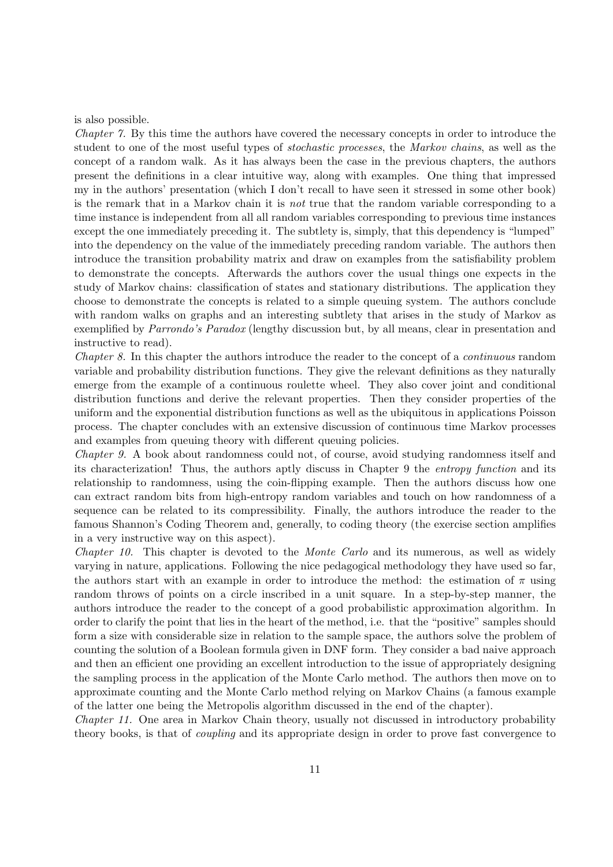is also possible.

Chapter 7. By this time the authors have covered the necessary concepts in order to introduce the student to one of the most useful types of stochastic processes, the Markov chains, as well as the concept of a random walk. As it has always been the case in the previous chapters, the authors present the definitions in a clear intuitive way, along with examples. One thing that impressed my in the authors' presentation (which I don't recall to have seen it stressed in some other book) is the remark that in a Markov chain it is not true that the random variable corresponding to a time instance is independent from all all random variables corresponding to previous time instances except the one immediately preceding it. The subtlety is, simply, that this dependency is "lumped" into the dependency on the value of the immediately preceding random variable. The authors then introduce the transition probability matrix and draw on examples from the satisfiability problem to demonstrate the concepts. Afterwards the authors cover the usual things one expects in the study of Markov chains: classification of states and stationary distributions. The application they choose to demonstrate the concepts is related to a simple queuing system. The authors conclude with random walks on graphs and an interesting subtlety that arises in the study of Markov as exemplified by Parrondo's Paradox (lengthy discussion but, by all means, clear in presentation and instructive to read).

Chapter 8. In this chapter the authors introduce the reader to the concept of a continuous random variable and probability distribution functions. They give the relevant definitions as they naturally emerge from the example of a continuous roulette wheel. They also cover joint and conditional distribution functions and derive the relevant properties. Then they consider properties of the uniform and the exponential distribution functions as well as the ubiquitous in applications Poisson process. The chapter concludes with an extensive discussion of continuous time Markov processes and examples from queuing theory with different queuing policies.

Chapter 9. A book about randomness could not, of course, avoid studying randomness itself and its characterization! Thus, the authors aptly discuss in Chapter 9 the entropy function and its relationship to randomness, using the coin-flipping example. Then the authors discuss how one can extract random bits from high-entropy random variables and touch on how randomness of a sequence can be related to its compressibility. Finally, the authors introduce the reader to the famous Shannon's Coding Theorem and, generally, to coding theory (the exercise section amplifies in a very instructive way on this aspect).

Chapter 10. This chapter is devoted to the Monte Carlo and its numerous, as well as widely varying in nature, applications. Following the nice pedagogical methodology they have used so far, the authors start with an example in order to introduce the method: the estimation of  $\pi$  using random throws of points on a circle inscribed in a unit square. In a step-by-step manner, the authors introduce the reader to the concept of a good probabilistic approximation algorithm. In order to clarify the point that lies in the heart of the method, i.e. that the "positive" samples should form a size with considerable size in relation to the sample space, the authors solve the problem of counting the solution of a Boolean formula given in DNF form. They consider a bad naive approach and then an efficient one providing an excellent introduction to the issue of appropriately designing the sampling process in the application of the Monte Carlo method. The authors then move on to approximate counting and the Monte Carlo method relying on Markov Chains (a famous example of the latter one being the Metropolis algorithm discussed in the end of the chapter).

Chapter 11. One area in Markov Chain theory, usually not discussed in introductory probability theory books, is that of coupling and its appropriate design in order to prove fast convergence to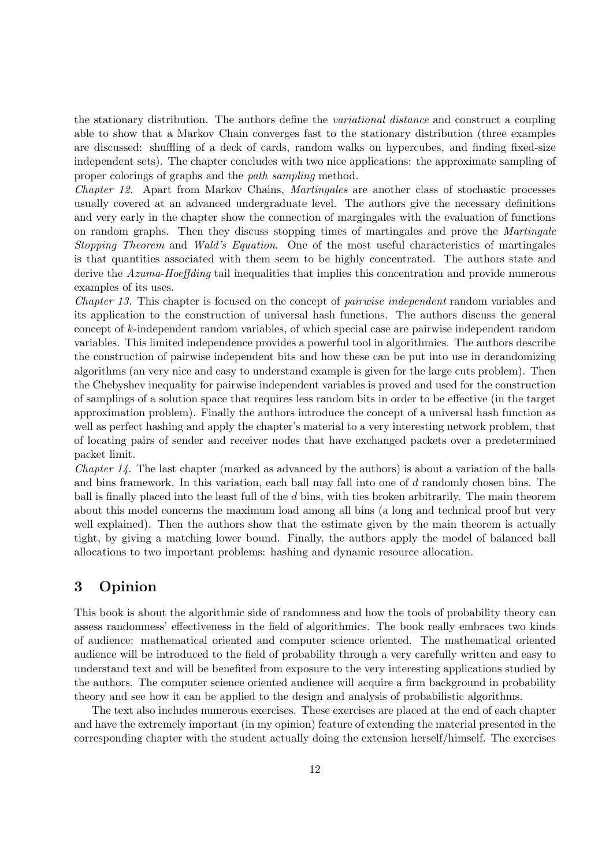the stationary distribution. The authors define the variational distance and construct a coupling able to show that a Markov Chain converges fast to the stationary distribution (three examples are discussed: shuffling of a deck of cards, random walks on hypercubes, and finding fixed-size independent sets). The chapter concludes with two nice applications: the approximate sampling of proper colorings of graphs and the path sampling method.

Chapter 12. Apart from Markov Chains, Martingales are another class of stochastic processes usually covered at an advanced undergraduate level. The authors give the necessary definitions and very early in the chapter show the connection of margingales with the evaluation of functions on random graphs. Then they discuss stopping times of martingales and prove the Martingale Stopping Theorem and Wald's Equation. One of the most useful characteristics of martingales is that quantities associated with them seem to be highly concentrated. The authors state and derive the Azuma-Hoeffding tail inequalities that implies this concentration and provide numerous examples of its uses.

Chapter 13. This chapter is focused on the concept of pairwise independent random variables and its application to the construction of universal hash functions. The authors discuss the general concept of k-independent random variables, of which special case are pairwise independent random variables. This limited independence provides a powerful tool in algorithmics. The authors describe the construction of pairwise independent bits and how these can be put into use in derandomizing algorithms (an very nice and easy to understand example is given for the large cuts problem). Then the Chebyshev inequality for pairwise independent variables is proved and used for the construction of samplings of a solution space that requires less random bits in order to be effective (in the target approximation problem). Finally the authors introduce the concept of a universal hash function as well as perfect hashing and apply the chapter's material to a very interesting network problem, that of locating pairs of sender and receiver nodes that have exchanged packets over a predetermined packet limit.

Chapter 14. The last chapter (marked as advanced by the authors) is about a variation of the balls and bins framework. In this variation, each ball may fall into one of d randomly chosen bins. The ball is finally placed into the least full of the d bins, with ties broken arbitrarily. The main theorem about this model concerns the maximum load among all bins (a long and technical proof but very well explained). Then the authors show that the estimate given by the main theorem is actually tight, by giving a matching lower bound. Finally, the authors apply the model of balanced ball allocations to two important problems: hashing and dynamic resource allocation.

# 3 Opinion

This book is about the algorithmic side of randomness and how the tools of probability theory can assess randomness' effectiveness in the field of algorithmics. The book really embraces two kinds of audience: mathematical oriented and computer science oriented. The mathematical oriented audience will be introduced to the field of probability through a very carefully written and easy to understand text and will be benefited from exposure to the very interesting applications studied by the authors. The computer science oriented audience will acquire a firm background in probability theory and see how it can be applied to the design and analysis of probabilistic algorithms.

The text also includes numerous exercises. These exercises are placed at the end of each chapter and have the extremely important (in my opinion) feature of extending the material presented in the corresponding chapter with the student actually doing the extension herself/himself. The exercises